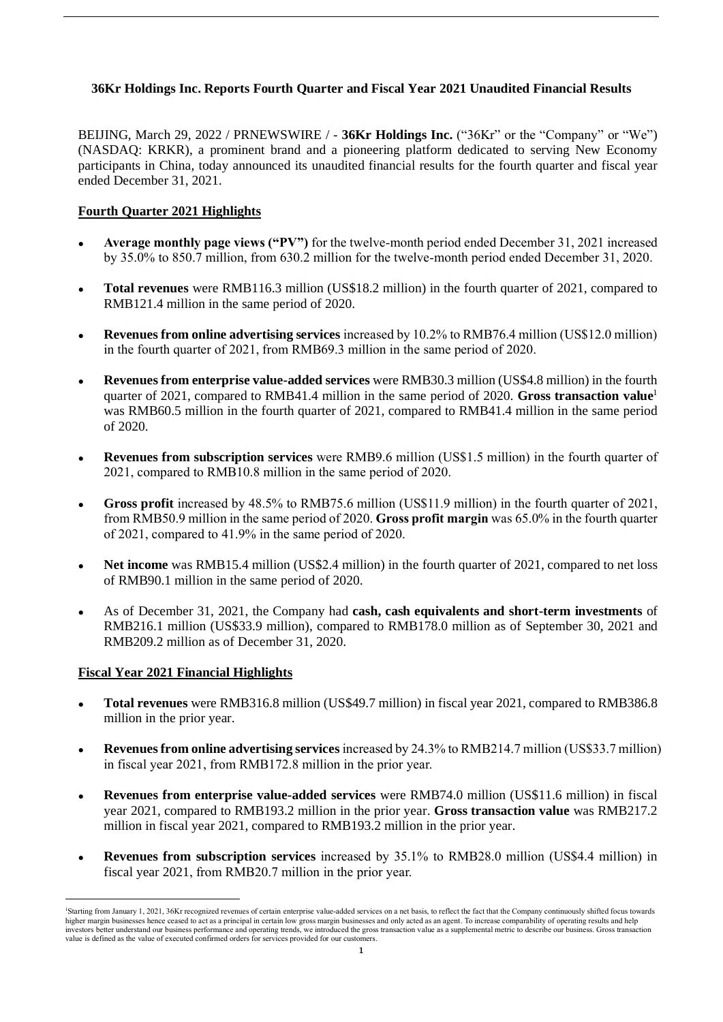## **36Kr Holdings Inc. Reports Fourth Quarter and Fiscal Year 2021 Unaudited Financial Results**

BEIJING, March 29, 2022 / PRNEWSWIRE / - **36Kr Holdings Inc.** ("36Kr" or the "Company" or "We") (NASDAQ: KRKR), a prominent brand and a pioneering platform dedicated to serving New Economy participants in China, today announced its unaudited financial results for the fourth quarter and fiscal year ended December 31, 2021.

## **Fourth Quarter 2021 Highlights**

- ⚫ **Average monthly page views ("PV")** for the twelve-month period ended December 31, 2021 increased by 35.0% to 850.7 million, from 630.2 million for the twelve-month period ended December 31, 2020.
- ⚫ **Total revenues** were RMB116.3 million (US\$18.2 million) in the fourth quarter of 2021, compared to RMB121.4 million in the same period of 2020.
- ⚫ **Revenues from online advertising services** increased by 10.2% to RMB76.4 million (US\$12.0 million) in the fourth quarter of 2021, from RMB69.3 million in the same period of 2020.
- ⚫ **Revenues from enterprise value-added services** were RMB30.3 million (US\$4.8 million) in the fourth quarter of 2021, compared to RMB41.4 million in the same period of 2020. **Gross transaction value**<sup>1</sup> was RMB60.5 million in the fourth quarter of 2021, compared to RMB41.4 million in the same period of 2020.
- ⚫ **Revenues from subscription services** were RMB9.6 million (US\$1.5 million) in the fourth quarter of 2021, compared to RMB10.8 million in the same period of 2020.
- ⚫ **Gross profit** increased by 48.5% to RMB75.6 million (US\$11.9 million) in the fourth quarter of 2021, from RMB50.9 million in the same period of 2020. **Gross profit margin** was 65.0% in the fourth quarter of 2021, compared to 41.9% in the same period of 2020.
- ⚫ **Net income** was RMB15.4 million (US\$2.4 million) in the fourth quarter of 2021, compared to net loss of RMB90.1 million in the same period of 2020.
- ⚫ As of December 31, 2021, the Company had **cash, cash equivalents and short-term investments** of RMB216.1 million (US\$33.9 million), compared to RMB178.0 million as of September 30, 2021 and RMB209.2 million as of December 31, 2020.

## **Fiscal Year 2021 Financial Highlights**

- ⚫ **Total revenues** were RMB316.8 million (US\$49.7 million) in fiscal year 2021, compared to RMB386.8 million in the prior year.
- ⚫ **Revenues from online advertising services** increased by 24.3% to RMB214.7 million (US\$33.7 million) in fiscal year 2021, from RMB172.8 million in the prior year.
- ⚫ **Revenues from enterprise value-added services** were RMB74.0 million (US\$11.6 million) in fiscal year 2021, compared to RMB193.2 million in the prior year. **Gross transaction value** was RMB217.2 million in fiscal year 2021, compared to RMB193.2 million in the prior year.
- ⚫ **Revenues from subscription services** increased by 35.1% to RMB28.0 million (US\$4.4 million) in fiscal year 2021, from RMB20.7 million in the prior year.

<sup>1</sup>Starting from January 1, 2021, 36Kr recognized revenues of certain enterprise value-added services on a net basis, to reflect the fact that the Company continuously shifted focus towards higher margin businesses hence ceased to act as a principal in certain low gross margin businesses and only acted as an agent. To increase comparability of operating results and help investors better understand our business performance and operating trends, we introduced the gross transaction value as a supplemental metric to describe our business. Gross transaction value is defined as the value of executed confirmed orders for services provided for our customers.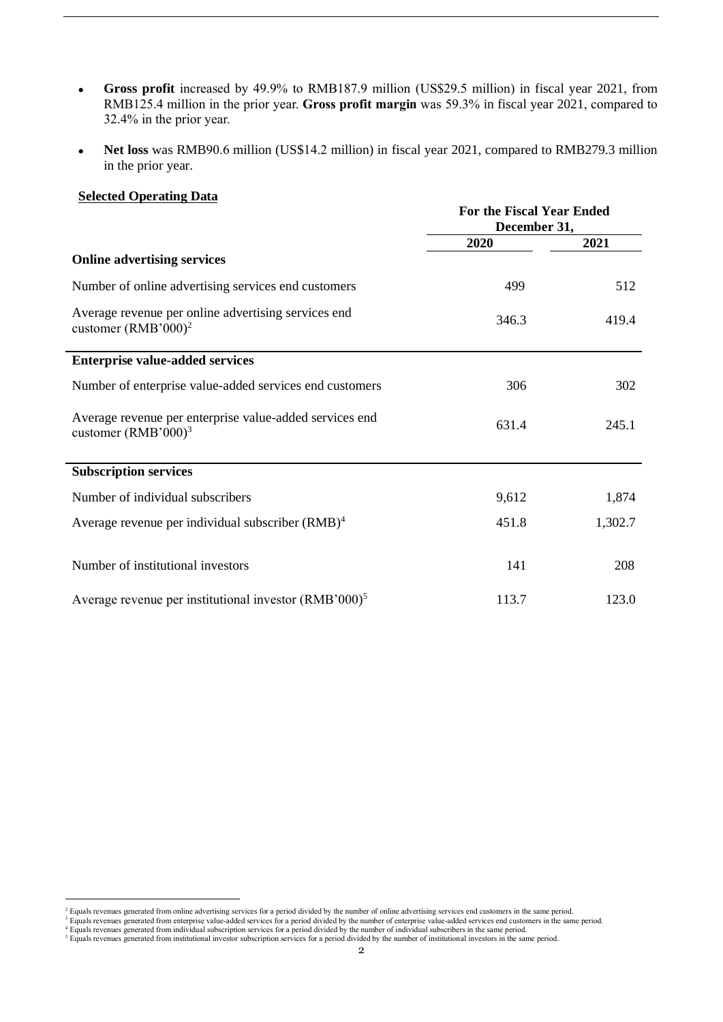- ⚫ **Gross profit** increased by 49.9% to RMB187.9 million (US\$29.5 million) in fiscal year 2021, from RMB125.4 million in the prior year. **Gross profit margin** was 59.3% in fiscal year 2021, compared to 32.4% in the prior year.
- ⚫ **Net loss** was RMB90.6 million (US\$14.2 million) in fiscal year 2021, compared to RMB279.3 million in the prior year.

#### **Selected Operating Data**

|                                                                                            | <b>For the Fiscal Year Ended</b><br>December 31, |         |  |
|--------------------------------------------------------------------------------------------|--------------------------------------------------|---------|--|
|                                                                                            | 2020                                             | 2021    |  |
| <b>Online advertising services</b>                                                         |                                                  |         |  |
| Number of online advertising services end customers                                        | 499                                              | 512     |  |
| Average revenue per online advertising services end<br>customer $(RMB'000)^2$              | 346.3                                            | 419.4   |  |
| <b>Enterprise value-added services</b>                                                     |                                                  |         |  |
| Number of enterprise value-added services end customers                                    | 306                                              | 302     |  |
| Average revenue per enterprise value-added services end<br>customer (RMB'000) <sup>3</sup> | 631.4                                            | 245.1   |  |
| <b>Subscription services</b>                                                               |                                                  |         |  |
| Number of individual subscribers                                                           | 9,612                                            | 1,874   |  |
| Average revenue per individual subscriber $(RMB)^4$                                        | 451.8                                            | 1,302.7 |  |
| Number of institutional investors                                                          | 141                                              | 208     |  |
| Average revenue per institutional investor $(RMB'000)^5$                                   | 113.7                                            | 123.0   |  |

<sup>&</sup>lt;sup>2</sup> Equals revenues generated from online advertising services for a period divided by the number of online advertising services end customers in the same period.<br><sup>3</sup> Equals revenues generated from enterprise value-added s

<sup>&</sup>lt;sup>5</sup> Equals revenues generated from institutional investor subscription services for a period divided by the number of institutional investors in the same period.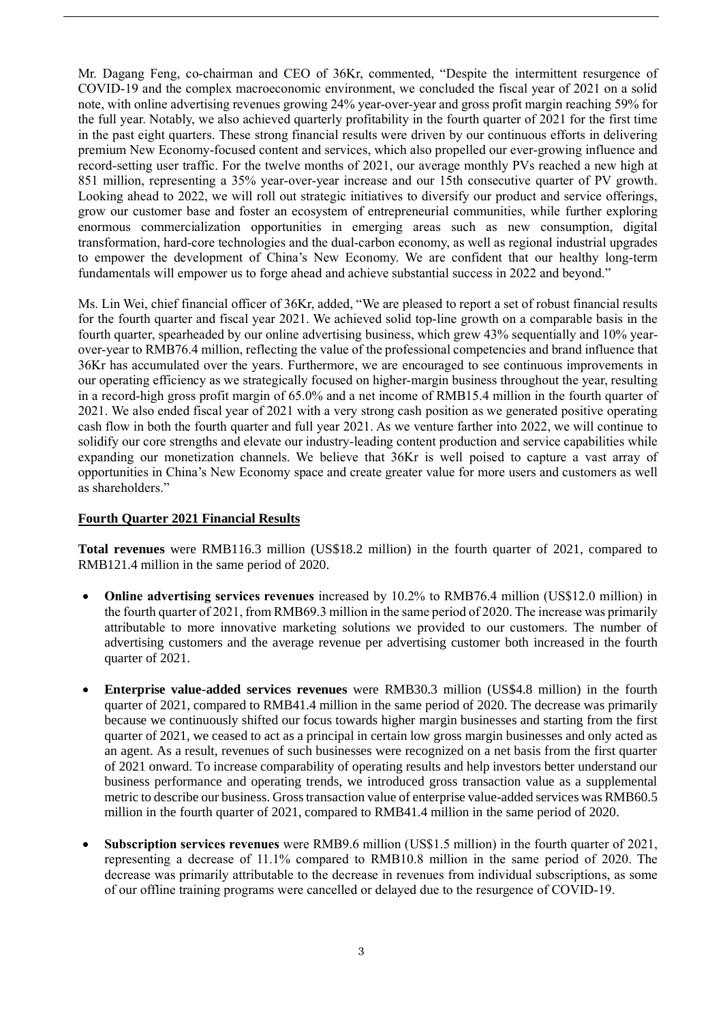Mr. Dagang Feng, co-chairman and CEO of 36Kr, commented, "Despite the intermittent resurgence of COVID-19 and the complex macroeconomic environment, we concluded the fiscal year of 2021 on a solid note, with online advertising revenues growing 24% year-over-year and gross profit margin reaching 59% for the full year. Notably, we also achieved quarterly profitability in the fourth quarter of 2021 for the first time in the past eight quarters. These strong financial results were driven by our continuous efforts in delivering premium New Economy-focused content and services, which also propelled our ever-growing influence and record-setting user traffic. For the twelve months of 2021, our average monthly PVs reached a new high at 851 million, representing a 35% year-over-year increase and our 15th consecutive quarter of PV growth. Looking ahead to 2022, we will roll out strategic initiatives to diversify our product and service offerings, grow our customer base and foster an ecosystem of entrepreneurial communities, while further exploring enormous commercialization opportunities in emerging areas such as new consumption, digital transformation, hard-core technologies and the dual-carbon economy, as well as regional industrial upgrades to empower the development of China's New Economy. We are confident that our healthy long-term fundamentals will empower us to forge ahead and achieve substantial success in 2022 and beyond."

Ms. Lin Wei, chief financial officer of 36Kr, added, "We are pleased to report a set of robust financial results for the fourth quarter and fiscal year 2021. We achieved solid top-line growth on a comparable basis in the fourth quarter, spearheaded by our online advertising business, which grew 43% sequentially and 10% yearover-year to RMB76.4 million, reflecting the value of the professional competencies and brand influence that 36Kr has accumulated over the years. Furthermore, we are encouraged to see continuous improvements in our operating efficiency as we strategically focused on higher-margin business throughout the year, resulting in a record-high gross profit margin of 65.0% and a net income of RMB15.4 million in the fourth quarter of 2021. We also ended fiscal year of 2021 with a very strong cash position as we generated positive operating cash flow in both the fourth quarter and full year 2021. As we venture farther into 2022, we will continue to solidify our core strengths and elevate our industry-leading content production and service capabilities while expanding our monetization channels. We believe that 36Kr is well poised to capture a vast array of opportunities in China's New Economy space and create greater value for more users and customers as well as shareholders."

### **Fourth Quarter 2021 Financial Results**

**Total revenues** were RMB116.3 million (US\$18.2 million) in the fourth quarter of 2021, compared to RMB121.4 million in the same period of 2020.

- **Online advertising services revenues** increased by 10.2% to RMB76.4 million (US\$12.0 million) in the fourth quarter of 2021, from RMB69.3 million in the same period of 2020. The increase was primarily attributable to more innovative marketing solutions we provided to our customers. The number of advertising customers and the average revenue per advertising customer both increased in the fourth quarter of 2021.
- **Enterprise value-added services revenues** were RMB30.3 million (US\$4.8 million) in the fourth quarter of 2021, compared to RMB41.4 million in the same period of 2020. The decrease was primarily because we continuously shifted our focus towards higher margin businesses and starting from the first quarter of 2021, we ceased to act as a principal in certain low gross margin businesses and only acted as an agent. As a result, revenues of such businesses were recognized on a net basis from the first quarter of 2021 onward. To increase comparability of operating results and help investors better understand our business performance and operating trends, we introduced gross transaction value as a supplemental metric to describe our business. Gross transaction value of enterprise value-added services was RMB60.5 million in the fourth quarter of 2021, compared to RMB41.4 million in the same period of 2020.
- **Subscription services revenues** were RMB9.6 million (US\$1.5 million) in the fourth quarter of 2021, representing a decrease of 11.1% compared to RMB10.8 million in the same period of 2020. The decrease was primarily attributable to the decrease in revenues from individual subscriptions, as some of our offline training programs were cancelled or delayed due to the resurgence of COVID-19.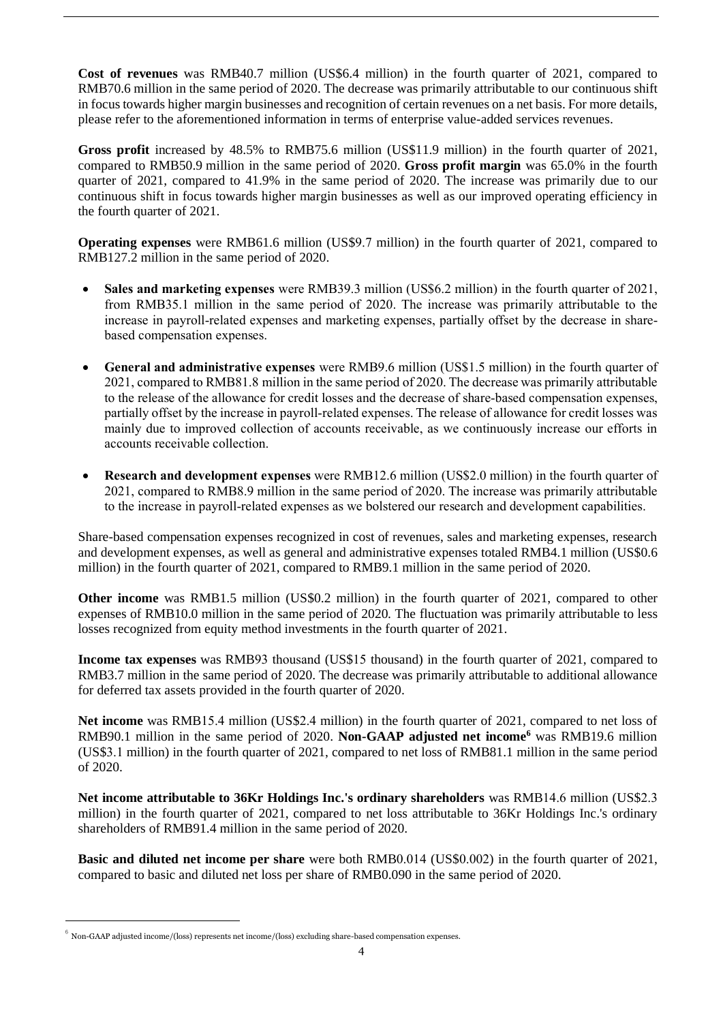**Cost of revenues** was RMB40.7 million (US\$6.4 million) in the fourth quarter of 2021, compared to RMB70.6 million in the same period of 2020. The decrease was primarily attributable to our continuous shift in focus towards higher margin businesses and recognition of certain revenues on a net basis. For more details, please refer to the aforementioned information in terms of enterprise value-added services revenues.

**Gross profit** increased by 48.5% to RMB75.6 million (US\$11.9 million) in the fourth quarter of 2021, compared to RMB50.9 million in the same period of 2020. **Gross profit margin** was 65.0% in the fourth quarter of 2021, compared to 41.9% in the same period of 2020. The increase was primarily due to our continuous shift in focus towards higher margin businesses as well as our improved operating efficiency in the fourth quarter of 2021.

**Operating expenses** were RMB61.6 million (US\$9.7 million) in the fourth quarter of 2021, compared to RMB127.2 million in the same period of 2020.

- **Sales and marketing expenses** were RMB39.3 million (US\$6.2 million) in the fourth quarter of 2021, from RMB35.1 million in the same period of 2020. The increase was primarily attributable to the increase in payroll-related expenses and marketing expenses, partially offset by the decrease in sharebased compensation expenses.
- **General and administrative expenses** were RMB9.6 million (US\$1.5 million) in the fourth quarter of 2021, compared to RMB81.8 million in the same period of 2020. The decrease was primarily attributable to the release of the allowance for credit losses and the decrease of share-based compensation expenses, partially offset by the increase in payroll-related expenses. The release of allowance for credit losses was mainly due to improved collection of accounts receivable, as we continuously increase our efforts in accounts receivable collection.
- **Research and development expenses** were RMB12.6 million (US\$2.0 million) in the fourth quarter of 2021, compared to RMB8.9 million in the same period of 2020. The increase was primarily attributable to the increase in payroll-related expenses as we bolstered our research and development capabilities.

Share-based compensation expenses recognized in cost of revenues, sales and marketing expenses, research and development expenses, as well as general and administrative expenses totaled RMB4.1 million (US\$0.6 million) in the fourth quarter of 2021, compared to RMB9.1 million in the same period of 2020.

**Other income** was RMB1.5 million (US\$0.2 million) in the fourth quarter of 2021, compared to other expenses of RMB10.0 million in the same period of 2020. The fluctuation was primarily attributable to less losses recognized from equity method investments in the fourth quarter of 2021.

**Income tax expenses** was RMB93 thousand (US\$15 thousand) in the fourth quarter of 2021, compared to RMB3.7 million in the same period of 2020. The decrease was primarily attributable to additional allowance for deferred tax assets provided in the fourth quarter of 2020.

**Net income** was RMB15.4 million (US\$2.4 million) in the fourth quarter of 2021, compared to net loss of RMB90.1 million in the same period of 2020. **Non-GAAP adjusted net income<sup>6</sup>** was RMB19.6 million (US\$3.1 million) in the fourth quarter of 2021, compared to net loss of RMB81.1 million in the same period of 2020.

**Net income attributable to 36Kr Holdings Inc.'s ordinary shareholders** was RMB14.6 million (US\$2.3 million) in the fourth quarter of 2021, compared to net loss attributable to 36Kr Holdings Inc.'s ordinary shareholders of RMB91.4 million in the same period of 2020.

**Basic and diluted net income per share** were both RMB0.014 (US\$0.002) in the fourth quarter of 2021, compared to basic and diluted net loss per share of RMB0.090 in the same period of 2020.

 $6 \text{ Non-GAAP adjusted income/(loss)}$  represents net income/(loss) excluding share-based compensation expenses.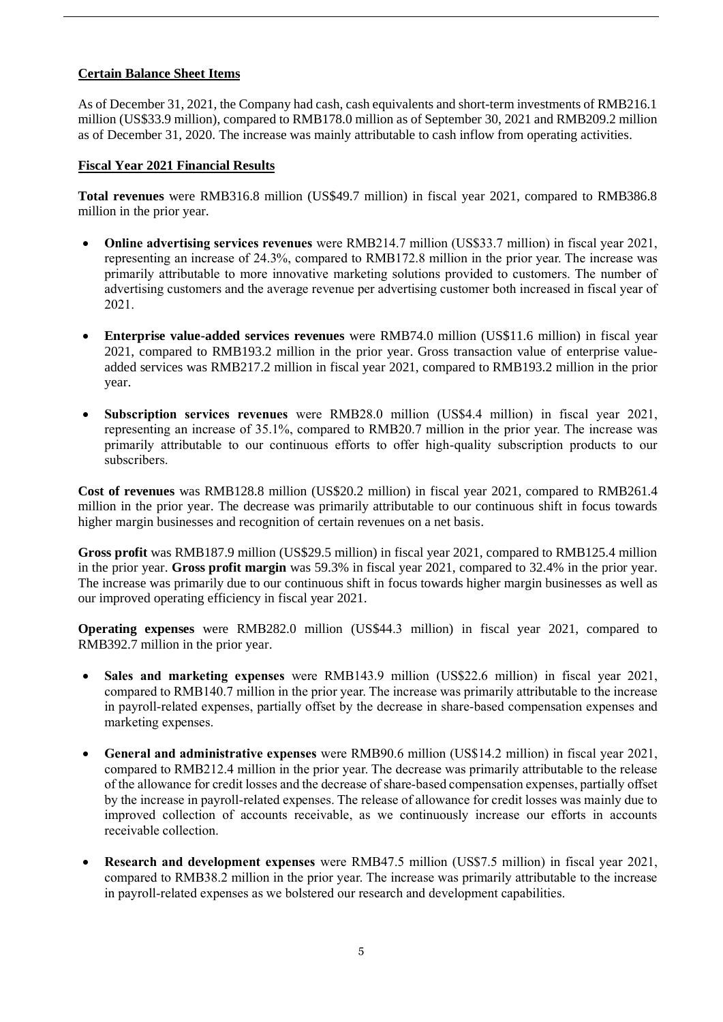### **Certain Balance Sheet Items**

As of December 31, 2021, the Company had cash, cash equivalents and short-term investments of RMB216.1 million (US\$33.9 million), compared to RMB178.0 million as of September 30, 2021 and RMB209.2 million as of December 31, 2020. The increase was mainly attributable to cash inflow from operating activities.

### **Fiscal Year 2021 Financial Results**

**Total revenues** were RMB316.8 million (US\$49.7 million) in fiscal year 2021, compared to RMB386.8 million in the prior year.

- **Online advertising services revenues** were RMB214.7 million (US\$33.7 million) in fiscal year 2021, representing an increase of 24.3%, compared to RMB172.8 million in the prior year. The increase was primarily attributable to more innovative marketing solutions provided to customers. The number of advertising customers and the average revenue per advertising customer both increased in fiscal year of 2021.
- **Enterprise value-added services revenues** were RMB74.0 million (US\$11.6 million) in fiscal year 2021, compared to RMB193.2 million in the prior year. Gross transaction value of enterprise valueadded services was RMB217.2 million in fiscal year 2021, compared to RMB193.2 million in the prior year.
- **Subscription services revenues** were RMB28.0 million (US\$4.4 million) in fiscal year 2021, representing an increase of 35.1%, compared to RMB20.7 million in the prior year. The increase was primarily attributable to our continuous efforts to offer high-quality subscription products to our subscribers.

**Cost of revenues** was RMB128.8 million (US\$20.2 million) in fiscal year 2021, compared to RMB261.4 million in the prior year. The decrease was primarily attributable to our continuous shift in focus towards higher margin businesses and recognition of certain revenues on a net basis.

**Gross profit** was RMB187.9 million (US\$29.5 million) in fiscal year 2021, compared to RMB125.4 million in the prior year. **Gross profit margin** was 59.3% in fiscal year 2021, compared to 32.4% in the prior year. The increase was primarily due to our continuous shift in focus towards higher margin businesses as well as our improved operating efficiency in fiscal year 2021.

**Operating expenses** were RMB282.0 million (US\$44.3 million) in fiscal year 2021, compared to RMB392.7 million in the prior year.

- **Sales and marketing expenses** were RMB143.9 million (US\$22.6 million) in fiscal year 2021, compared to RMB140.7 million in the prior year. The increase was primarily attributable to the increase in payroll-related expenses, partially offset by the decrease in share-based compensation expenses and marketing expenses.
- **General and administrative expenses** were RMB90.6 million (US\$14.2 million) in fiscal year 2021, compared to RMB212.4 million in the prior year. The decrease was primarily attributable to the release of the allowance for credit losses and the decrease of share-based compensation expenses, partially offset by the increase in payroll-related expenses. The release of allowance for credit losses was mainly due to improved collection of accounts receivable, as we continuously increase our efforts in accounts receivable collection.
- **Research and development expenses** were RMB47.5 million (US\$7.5 million) in fiscal year 2021, compared to RMB38.2 million in the prior year. The increase was primarily attributable to the increase in payroll-related expenses as we bolstered our research and development capabilities.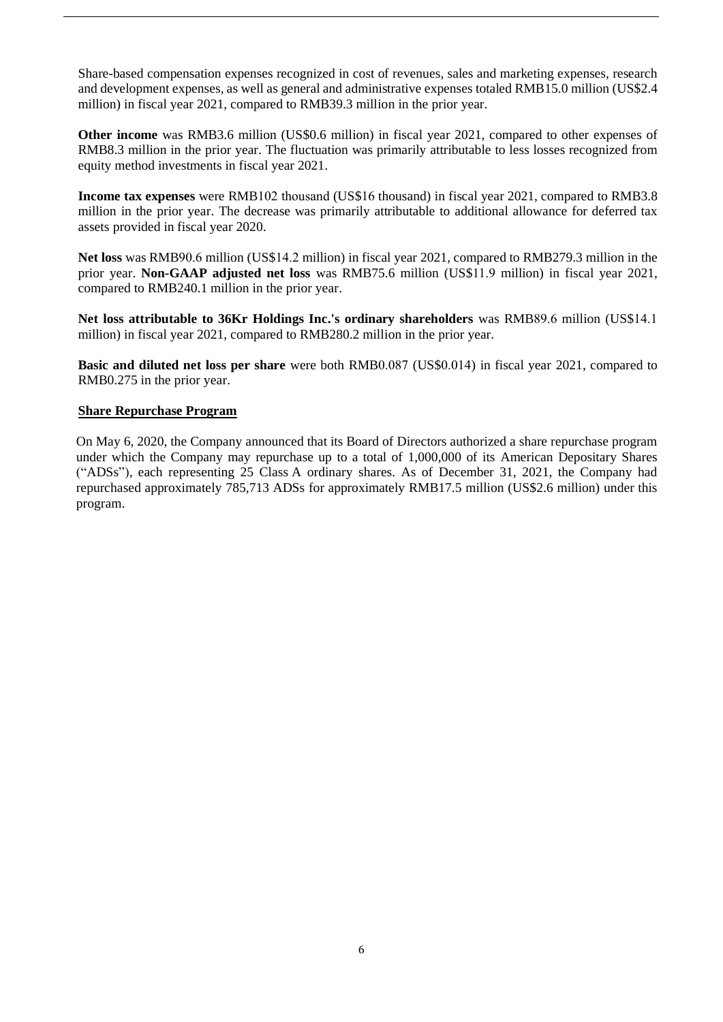Share-based compensation expenses recognized in cost of revenues, sales and marketing expenses, research and development expenses, as well as general and administrative expenses totaled RMB15.0 million (US\$2.4 million) in fiscal year 2021, compared to RMB39.3 million in the prior year.

**Other income** was RMB3.6 million (US\$0.6 million) in fiscal year 2021, compared to other expenses of RMB8.3 million in the prior year. The fluctuation was primarily attributable to less losses recognized from equity method investments in fiscal year 2021.

**Income tax expenses** were RMB102 thousand (US\$16 thousand) in fiscal year 2021, compared to RMB3.8 million in the prior year. The decrease was primarily attributable to additional allowance for deferred tax assets provided in fiscal year 2020.

**Net loss** was RMB90.6 million (US\$14.2 million) in fiscal year 2021, compared to RMB279.3 million in the prior year. **Non-GAAP adjusted net loss** was RMB75.6 million (US\$11.9 million) in fiscal year 2021, compared to RMB240.1 million in the prior year.

**Net loss attributable to 36Kr Holdings Inc.'s ordinary shareholders** was RMB89.6 million (US\$14.1 million) in fiscal year 2021, compared to RMB280.2 million in the prior year.

**Basic and diluted net loss per share** were both RMB0.087 (US\$0.014) in fiscal year 2021, compared to RMB0.275 in the prior year.

### **Share Repurchase Program**

On May 6, 2020, the Company announced that its Board of Directors authorized a share repurchase program under which the Company may repurchase up to a total of 1,000,000 of its American Depositary Shares ("ADSs"), each representing 25 Class A ordinary shares. As of December 31, 2021, the Company had repurchased approximately 785,713 ADSs for approximately RMB17.5 million (US\$2.6 million) under this program.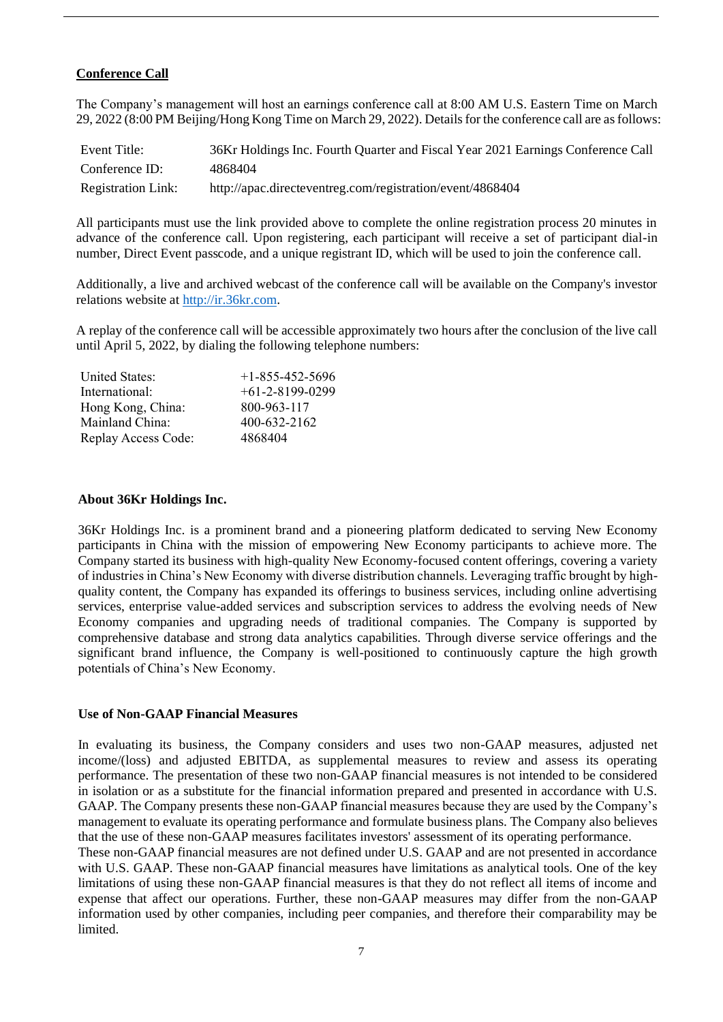## **Conference Call**

The Company's management will host an earnings conference call at 8:00 AM U.S. Eastern Time on March 29, 2022 (8:00 PM Beijing/Hong Kong Time on March 29, 2022). Details for the conference call are as follows:

| Event Title:              | 36Kr Holdings Inc. Fourth Quarter and Fiscal Year 2021 Earnings Conference Call |
|---------------------------|---------------------------------------------------------------------------------|
| Conference ID:            | 4868404                                                                         |
| <b>Registration Link:</b> | http://apac.directeventreg.com/registration/event/4868404                       |

All participants must use the link provided above to complete the online registration process 20 minutes in advance of the conference call. Upon registering, each participant will receive a set of participant dial-in number, Direct Event passcode, and a unique registrant ID, which will be used to join the conference call.

Additionally, a live and archived webcast of the conference call will be available on the Company's investor relations website at [http://ir.36kr.com.](http://ir.36kr.com/)

A replay of the conference call will be accessible approximately two hours after the conclusion of the live call until April 5, 2022, by dialing the following telephone numbers:

| <b>United States:</b> | $+1 - 855 - 452 - 5696$ |
|-----------------------|-------------------------|
| International:        | $+61-2-8199-0299$       |
| Hong Kong, China:     | 800-963-117             |
| Mainland China:       | 400-632-2162            |
| Replay Access Code:   | 4868404                 |

#### **About 36Kr Holdings Inc.**

36Kr Holdings Inc. is a prominent brand and a pioneering platform dedicated to serving New Economy participants in China with the mission of empowering New Economy participants to achieve more. The Company started its business with high-quality New Economy-focused content offerings, covering a variety of industries in China's New Economy with diverse distribution channels. Leveraging traffic brought by highquality content, the Company has expanded its offerings to business services, including online advertising services, enterprise value-added services and subscription services to address the evolving needs of New Economy companies and upgrading needs of traditional companies. The Company is supported by comprehensive database and strong data analytics capabilities. Through diverse service offerings and the significant brand influence, the Company is well-positioned to continuously capture the high growth potentials of China's New Economy.

#### **Use of Non-GAAP Financial Measures**

In evaluating its business, the Company considers and uses two non-GAAP measures, adjusted net income/(loss) and adjusted EBITDA, as supplemental measures to review and assess its operating performance. The presentation of these two non-GAAP financial measures is not intended to be considered in isolation or as a substitute for the financial information prepared and presented in accordance with U.S. GAAP. The Company presents these non-GAAP financial measures because they are used by the Company's management to evaluate its operating performance and formulate business plans. The Company also believes that the use of these non-GAAP measures facilitates investors' assessment of its operating performance.

These non-GAAP financial measures are not defined under U.S. GAAP and are not presented in accordance with U.S. GAAP. These non-GAAP financial measures have limitations as analytical tools. One of the key limitations of using these non-GAAP financial measures is that they do not reflect all items of income and expense that affect our operations. Further, these non-GAAP measures may differ from the non-GAAP information used by other companies, including peer companies, and therefore their comparability may be limited.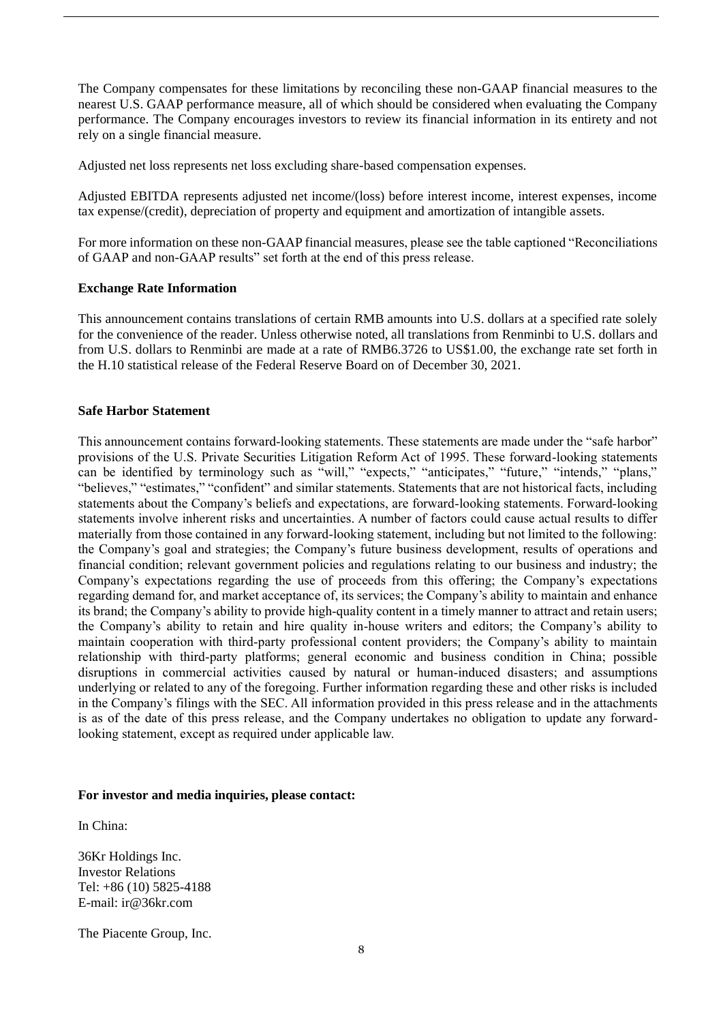The Company compensates for these limitations by reconciling these non-GAAP financial measures to the nearest U.S. GAAP performance measure, all of which should be considered when evaluating the Company performance. The Company encourages investors to review its financial information in its entirety and not rely on a single financial measure.

Adjusted net loss represents net loss excluding share-based compensation expenses.

Adjusted EBITDA represents adjusted net income/(loss) before interest income, interest expenses, income tax expense/(credit), depreciation of property and equipment and amortization of intangible assets.

For more information on these non-GAAP financial measures, please see the table captioned "Reconciliations of GAAP and non-GAAP results" set forth at the end of this press release.

### **Exchange Rate Information**

This announcement contains translations of certain RMB amounts into U.S. dollars at a specified rate solely for the convenience of the reader. Unless otherwise noted, all translations from Renminbi to U.S. dollars and from U.S. dollars to Renminbi are made at a rate of RMB6.3726 to US\$1.00, the exchange rate set forth in the H.10 statistical release of the Federal Reserve Board on of December 30, 2021.

### **Safe Harbor Statement**

This announcement contains forward-looking statements. These statements are made under the "safe harbor" provisions of the U.S. Private Securities Litigation Reform Act of 1995. These forward-looking statements can be identified by terminology such as "will," "expects," "anticipates," "future," "intends," "plans," "believes," "estimates," "confident" and similar statements. Statements that are not historical facts, including statements about the Company's beliefs and expectations, are forward-looking statements. Forward-looking statements involve inherent risks and uncertainties. A number of factors could cause actual results to differ materially from those contained in any forward-looking statement, including but not limited to the following: the Company's goal and strategies; the Company's future business development, results of operations and financial condition; relevant government policies and regulations relating to our business and industry; the Company's expectations regarding the use of proceeds from this offering; the Company's expectations regarding demand for, and market acceptance of, its services; the Company's ability to maintain and enhance its brand; the Company's ability to provide high-quality content in a timely manner to attract and retain users; the Company's ability to retain and hire quality in-house writers and editors; the Company's ability to maintain cooperation with third-party professional content providers; the Company's ability to maintain relationship with third-party platforms; general economic and business condition in China; possible disruptions in commercial activities caused by natural or human-induced disasters; and assumptions underlying or related to any of the foregoing. Further information regarding these and other risks is included in the Company's filings with the SEC. All information provided in this press release and in the attachments is as of the date of this press release, and the Company undertakes no obligation to update any forwardlooking statement, except as required under applicable law.

### **For investor and media inquiries, please contact:**

In China:

36Kr Holdings Inc. Investor Relations Tel: +86 (10) 5825-4188 E-mail: ir@36kr.com

The Piacente Group, Inc.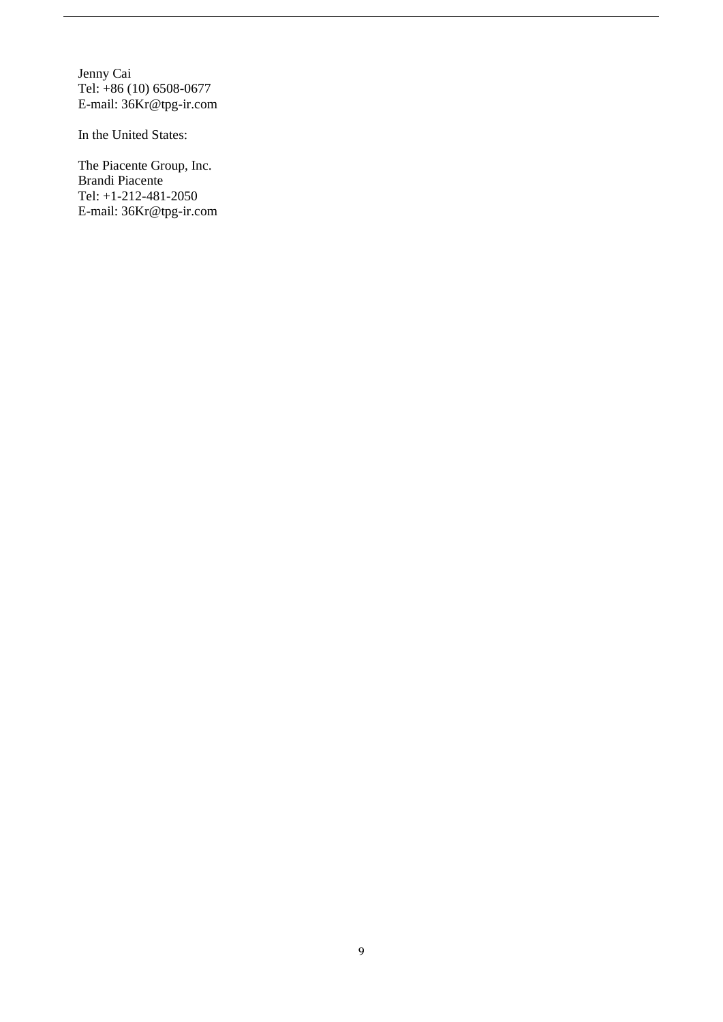Jenny Cai Tel: +86 (10) 6508-0677 E-mail: 36Kr@tpg-ir.com

In the United States:

The Piacente Group, Inc. Brandi Piacente Tel: +1-212-481-2050 E-mail: 36Kr@tpg-ir.com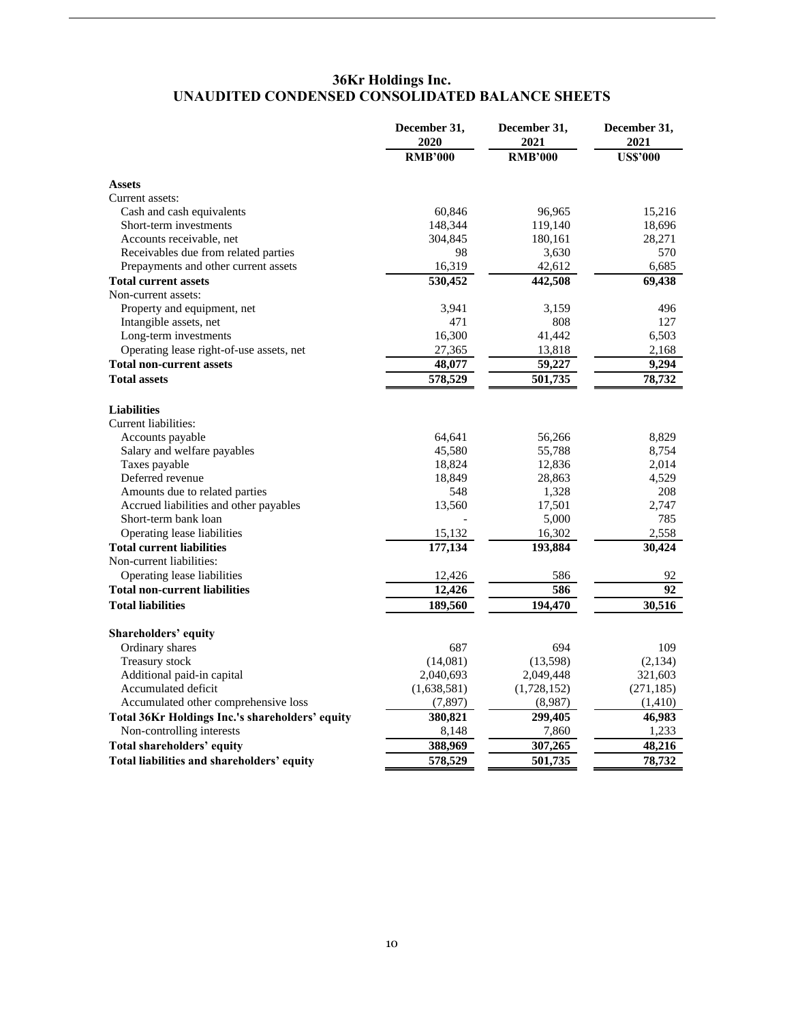#### **36Kr Holdings Inc. UNAUDITED CONDENSED CONSOLIDATED BALANCE SHEETS**

|                                                 | December 31,<br>2020 | December 31,<br>2021 | December 31,<br>2021 |
|-------------------------------------------------|----------------------|----------------------|----------------------|
|                                                 | <b>RMB'000</b>       | <b>RMB'000</b>       | <b>US\$'000</b>      |
| <b>Assets</b>                                   |                      |                      |                      |
| Current assets:                                 |                      |                      |                      |
| Cash and cash equivalents                       | 60,846               | 96,965               | 15,216               |
| Short-term investments                          | 148,344              | 119,140              | 18,696               |
| Accounts receivable, net                        | 304,845              | 180,161              | 28,271               |
| Receivables due from related parties            | 98                   | 3,630                | 570                  |
| Prepayments and other current assets            | 16,319               | 42,612               | 6,685                |
| <b>Total current assets</b>                     | 530,452              | 442,508              | 69,438               |
| Non-current assets:                             |                      |                      |                      |
| Property and equipment, net                     | 3,941                | 3,159                | 496                  |
| Intangible assets, net                          | 471                  | 808                  | 127                  |
| Long-term investments                           | 16,300               | 41,442               | 6,503                |
| Operating lease right-of-use assets, net        | 27,365               | 13,818               | 2,168                |
| <b>Total non-current assets</b>                 | 48,077               | 59,227               | 9,294                |
| <b>Total assets</b>                             | 578,529              | 501,735              | 78,732               |
|                                                 |                      |                      |                      |
| <b>Liabilities</b>                              |                      |                      |                      |
| Current liabilities:                            |                      |                      |                      |
| Accounts payable                                | 64,641               | 56,266               | 8,829                |
| Salary and welfare payables                     | 45,580               | 55,788               | 8,754                |
| Taxes payable                                   | 18,824               | 12,836               | 2,014                |
| Deferred revenue                                | 18,849               | 28,863               | 4,529                |
| Amounts due to related parties                  | 548                  | 1,328                | 208                  |
| Accrued liabilities and other payables          | 13,560               | 17,501               | 2,747                |
| Short-term bank loan                            |                      | 5,000                | 785                  |
| Operating lease liabilities                     | 15,132               | 16,302               | 2,558                |
| <b>Total current liabilities</b>                | 177,134              | 193,884              | 30,424               |
| Non-current liabilities:                        |                      |                      |                      |
| Operating lease liabilities                     | 12,426               | 586                  | 92                   |
| <b>Total non-current liabilities</b>            | 12,426               | 586                  | 92                   |
| <b>Total liabilities</b>                        | 189,560              | 194,470              | 30,516               |
| Shareholders' equity                            |                      |                      |                      |
| Ordinary shares                                 | 687                  | 694                  | 109                  |
| Treasury stock                                  | (14,081)             | (13,598)             | (2,134)              |
| Additional paid-in capital                      | 2,040,693            | 2,049,448            | 321,603              |
| Accumulated deficit                             | (1,638,581)          | (1,728,152)          | (271, 185)           |
| Accumulated other comprehensive loss            | (7, 897)             | (8,987)              | (1, 410)             |
| Total 36Kr Holdings Inc.'s shareholders' equity | 380,821              | 299,405              | 46,983               |
| Non-controlling interests                       | 8,148                | 7,860                | 1,233                |
| Total shareholders' equity                      | 388,969              | 307,265              | 48,216               |
| Total liabilities and shareholders' equity      | 578,529              | 501,735              | 78,732               |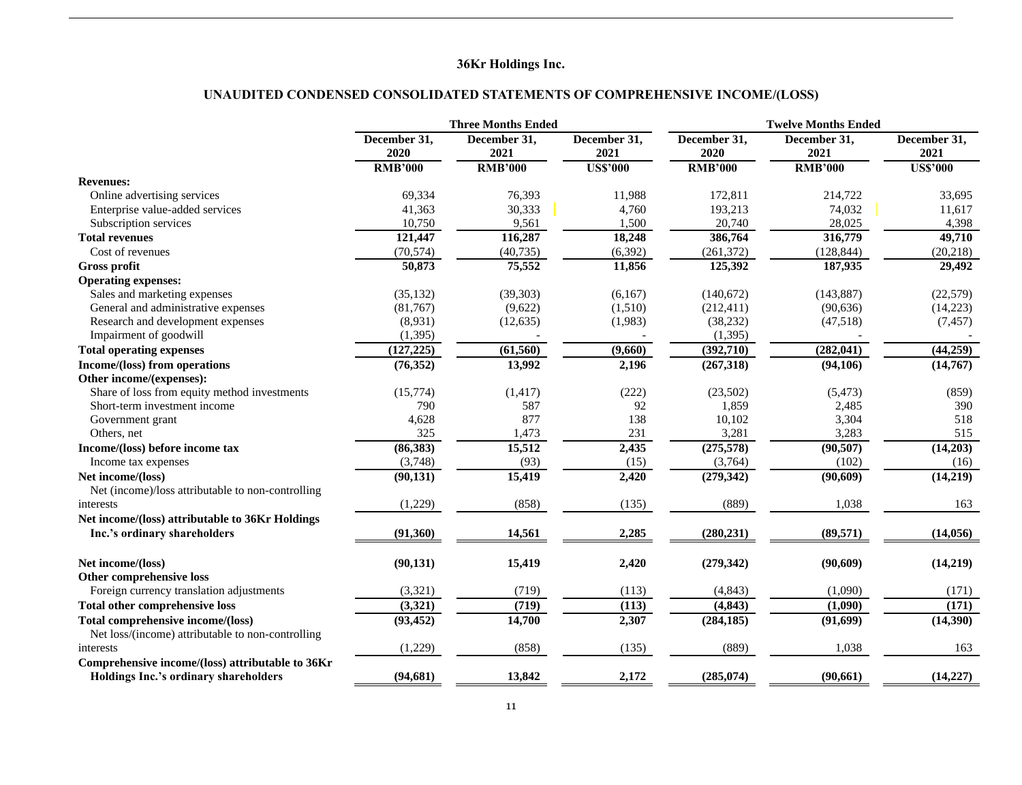### **36Kr Holdings Inc.**

### **UNAUDITED CONDENSED CONSOLIDATED STATEMENTS OF COMPREHENSIVE INCOME/(LOSS)**

|                                                   | <b>Three Months Ended</b>              |                                        |                      | <b>Twelve Months Ended</b> |                      |                      |
|---------------------------------------------------|----------------------------------------|----------------------------------------|----------------------|----------------------------|----------------------|----------------------|
|                                                   | December 31,<br>2020<br><b>RMB'000</b> | December 31.<br>2021<br><b>RMB'000</b> | December 31,<br>2021 | December 31,<br>2020       | December 31,<br>2021 | December 31,<br>2021 |
|                                                   |                                        |                                        | <b>US\$'000</b>      | <b>RMB'000</b>             | <b>RMB'000</b>       | <b>US\$'000</b>      |
| <b>Revenues:</b>                                  |                                        |                                        |                      |                            |                      |                      |
| Online advertising services                       | 69,334                                 | 76,393                                 | 11,988               | 172,811                    | 214,722              | 33,695               |
| Enterprise value-added services                   | 41,363                                 | 30,333                                 | 4,760                | 193,213                    | 74,032               | 11,617               |
| Subscription services                             | 10,750                                 | 9,561                                  | 1,500                | 20,740                     | 28,025               | 4,398                |
| <b>Total revenues</b>                             | 121,447                                | 116,287                                | 18,248               | 386,764                    | 316,779              | 49,710               |
| Cost of revenues                                  | (70, 574)                              | (40, 735)                              | (6, 392)             | (261, 372)                 | (128, 844)           | (20, 218)            |
| Gross profit                                      | 50,873                                 | 75,552                                 | 11,856               | 125,392                    | 187,935              | 29,492               |
| <b>Operating expenses:</b>                        |                                        |                                        |                      |                            |                      |                      |
| Sales and marketing expenses                      | (35, 132)                              | (39, 303)                              | (6,167)              | (140, 672)                 | (143, 887)           | (22, 579)            |
| General and administrative expenses               | (81,767)                               | (9,622)                                | (1,510)              | (212, 411)                 | (90, 636)            | (14,223)             |
| Research and development expenses                 | (8,931)                                | (12, 635)                              | (1,983)              | (38, 232)                  | (47,518)             | (7, 457)             |
| Impairment of goodwill                            | (1, 395)                               |                                        |                      | (1, 395)                   |                      |                      |
| <b>Total operating expenses</b>                   | (127, 225)                             | (61, 560)                              | (9,660)              | (392,710)                  | (282, 041)           | (44,259)             |
| Income/(loss) from operations                     | (76, 352)                              | 13,992                                 | 2,196                | (267,318)                  | (94, 106)            | (14,767)             |
| Other income/(expenses):                          |                                        |                                        |                      |                            |                      |                      |
| Share of loss from equity method investments      | (15,774)                               | (1, 417)                               | (222)                | (23,502)                   | (5, 473)             | (859)                |
| Short-term investment income                      | 790                                    | 587                                    | 92                   | 1,859                      | 2,485                | 390                  |
| Government grant                                  | 4,628                                  | 877                                    | 138                  | 10,102                     | 3,304                | 518                  |
| Others, net                                       | 325                                    | 1,473                                  | 231                  | 3,281                      | 3,283                | 515                  |
| Income/(loss) before income tax                   | (86, 383)                              | 15,512                                 | 2,435                | (275, 578)                 | (90, 507)            | (14,203)             |
| Income tax expenses                               | (3,748)                                | (93)                                   | (15)                 | (3,764)                    | (102)                | (16)                 |
| Net income/(loss)                                 | (90, 131)                              | 15,419                                 | 2,420                | (279, 342)                 | (90, 609)            | (14,219)             |
| Net (income)/loss attributable to non-controlling |                                        |                                        |                      |                            |                      |                      |
| interests                                         | (1,229)                                | (858)                                  | (135)                | (889)                      | 1,038                | 163                  |
| Net income/(loss) attributable to 36Kr Holdings   |                                        |                                        |                      |                            |                      |                      |
| Inc.'s ordinary shareholders                      | (91, 360)                              | 14,561                                 | 2,285                | (280, 231)                 | (89, 571)            | (14,056)             |
| Net income/(loss)                                 | (90, 131)                              | 15,419                                 | 2,420                | (279, 342)                 | (90,609)             | (14,219)             |
| Other comprehensive loss                          |                                        |                                        |                      |                            |                      |                      |
| Foreign currency translation adjustments          | (3,321)                                | (719)                                  | (113)                | (4, 843)                   | (1,090)              | (171)                |
| <b>Total other comprehensive loss</b>             | (3,321)                                | (719)                                  | (113)                | (4, 843)                   | (1,090)              | (171)                |
| Total comprehensive income/(loss)                 | (93, 452)                              | 14,700                                 | 2,307                | (284, 185)                 | (91, 699)            | (14,390)             |
| Net loss/(income) attributable to non-controlling |                                        |                                        |                      |                            |                      |                      |
| interests                                         | (1,229)                                | (858)                                  | (135)                | (889)                      | 1,038                | 163                  |
| Comprehensive income/(loss) attributable to 36Kr  |                                        |                                        |                      |                            |                      |                      |
| Holdings Inc.'s ordinary shareholders             | (94, 681)                              | 13,842                                 | 2,172                | (285, 074)                 | (90,661)             | (14,227)             |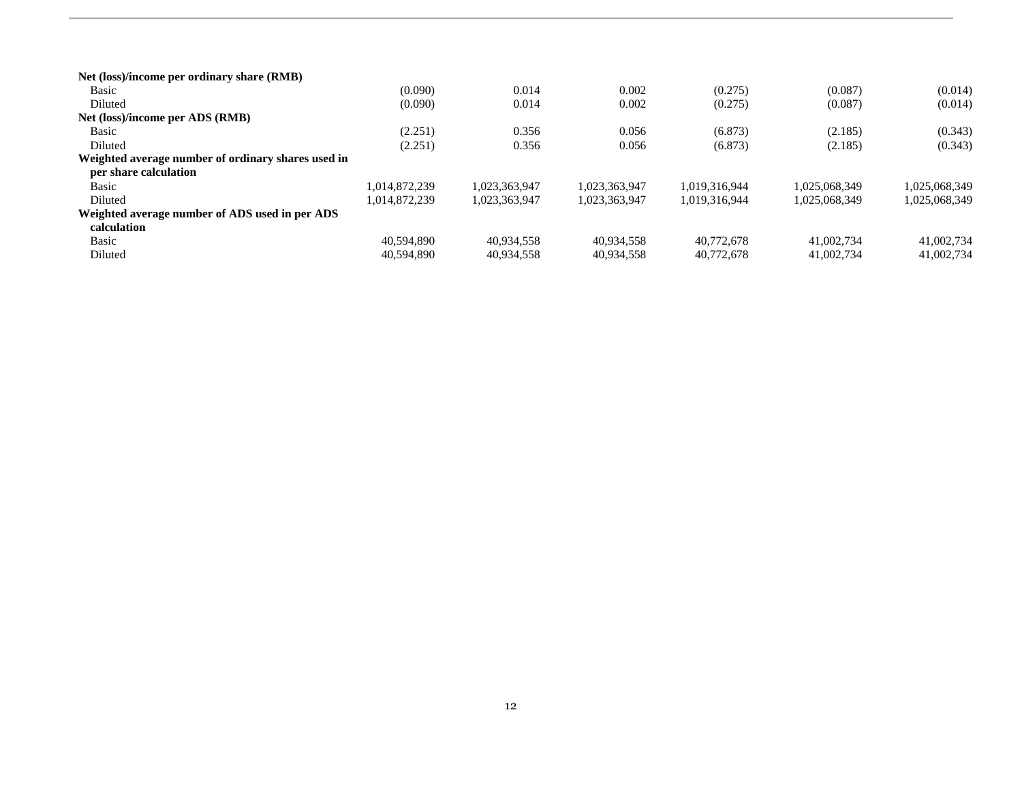| Net (loss)/income per ordinary share (RMB)         |               |               |               |               |               |               |
|----------------------------------------------------|---------------|---------------|---------------|---------------|---------------|---------------|
| Basic                                              | (0.090)       | 0.014         | 0.002         | (0.275)       | (0.087)       | (0.014)       |
| Diluted                                            | (0.090)       | 0.014         | 0.002         | (0.275)       | (0.087)       | (0.014)       |
| Net (loss)/income per ADS (RMB)                    |               |               |               |               |               |               |
| Basic                                              | (2.251)       | 0.356         | 0.056         | (6.873)       | (2.185)       | (0.343)       |
| Diluted                                            | (2.251)       | 0.356         | 0.056         | (6.873)       | (2.185)       | (0.343)       |
| Weighted average number of ordinary shares used in |               |               |               |               |               |               |
| per share calculation                              |               |               |               |               |               |               |
| Basic                                              | 1.014.872.239 | 1,023,363,947 | 1.023.363.947 | 1.019.316.944 | 1.025.068.349 | 1.025.068.349 |
| Diluted                                            | 1.014.872.239 | 1.023.363.947 | 1.023.363.947 | 1.019.316.944 | 1.025.068.349 | 1.025.068.349 |
| Weighted average number of ADS used in per ADS     |               |               |               |               |               |               |
| calculation                                        |               |               |               |               |               |               |
| Basic                                              | 40.594.890    | 40.934.558    | 40.934.558    | 40.772.678    | 41,002,734    | 41,002,734    |
| Diluted                                            | 40.594.890    | 40.934.558    | 40.934.558    | 40.772.678    | 41,002,734    | 41,002,734    |